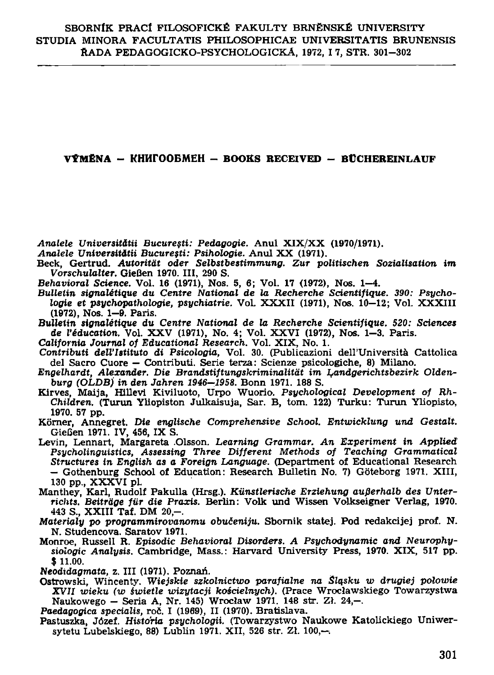## **VÝMĚNA – KHK** $\Gamma$ **OOBMEH – BOOKS RECEIVED – BÜCHEREINLAUF**

Analele Universitătii București: Pedagogie. Anul XIX/XX (1970/1971).

- Analele Universității București: Psihologie. Anul XX (1971).
- Beck. Gertrud. Autorität oder Selbstbestimmung. Zur politischen Sozialisation im Vorschulalter. Gießen 1970. III. 290 S.
- 
- Behavioral Science. Vol. 16 (1971), Nos. 5, 6; Vol. 17 (1972), Nos. 1-4.<br>Bulletin signalétique du Centre National de la Recherche Scientifique. 390: Psychologie et psychopathologie, psychiatrie. Vol. XXXII (1971), Nos. 10-12; Vol. XXXIII (1972), Nos. 1-9. Paris.
- Bulletin signalétique du Centre National de la Recherche Scientifique, 520: Sciences de l'éducation. Vol. XXV (1971), No. 4; Vol. XXVI (1972), Nos. 1-3. Paris.
- California Journal of Educational Research. Vol. XIX, No. 1.
- Contributi dell'Istituto di Psicologia, Vol. 30. (Publicazioni dell'Università Cattolica del Sacro Cuore – Contributi, Serie terza: Scienze psicologiche, 8) Milano.
- Engelhardt, Alexander, Die Brandstiftungskriminalität im Landgerichtsbezirk Oldenburg (OLDB) in den Jahren 1946-1958. Bonn 1971. 188 S.
- Kirves, Maija, Hillevi Kiviluoto, Urpo Wuorio. Psychological Development of Rh-Children. (Turun Yliopiston Julkaisuja, Sar. B. tom. 122) Turku: Turun Yliopisto, 1970. 57 pp.
- Körner, Annegret. Die englische Comprehensive School. Entwicklung und Gestalt. Gießen 1971. IV, 456, IX S.
- Levin, Lennart, Margareta Olsson. Learning Grammar. An Experiment in Applied Psycholinguistics, Assessing Three Different Methods of Teaching Grammatical Structures in English as a Foreign Language. (Department of Educational Research - Gothenburg School of Education: Research Bulletin No. 7) Göteborg 1971. XIII, 130 pp., XXXVI pl.
- Manthey, Karl, Rudolf Pakulla (Hrsg.). Künstlerische Erziehung außerhalb des Unterrichts. Beiträge für die Praxis. Berlin: Volk und Wissen Volkseigner Verlag, 1970. 443 S., XXIII Taf. DM 20.-.
- Materialy po programmirovanomu obučeniju. Sbornik statej. Pod redakcijej prof. N. N. Studencova. Saratov 1971.
- Monroe, Russell R. Episodic Behavioral Disorders. A Psychodynamic and Neurophysiologic Analusis. Cambridge. Mass.: Harvard University Press. 1970. XIX, 517 pp.  $$11.00.$

Neodidagmata, z. III (1971). Poznań.

Ostrowski, Wincenty. Wiejskie szkolnictwo parafialne na Śląsku w drugiej połowie XVII wieku (w świetle wizytacji kościelnych). (Prace Wrocławskiego Towarzystwa Naukowego - Seria A, Nr. 145) Wrocław 1971. 148 str. Zł. 24,-.

Paedagogica specialis, roč. I (1969), II (1970). Bratislava.

Pastuszka, Józef. Historia psychologii. (Towarzystwo Naukowe Katolickiego Uniwersytetu Lubelskiego, 88) Lublin 1971, XII, 526 str. Zl. 100,-